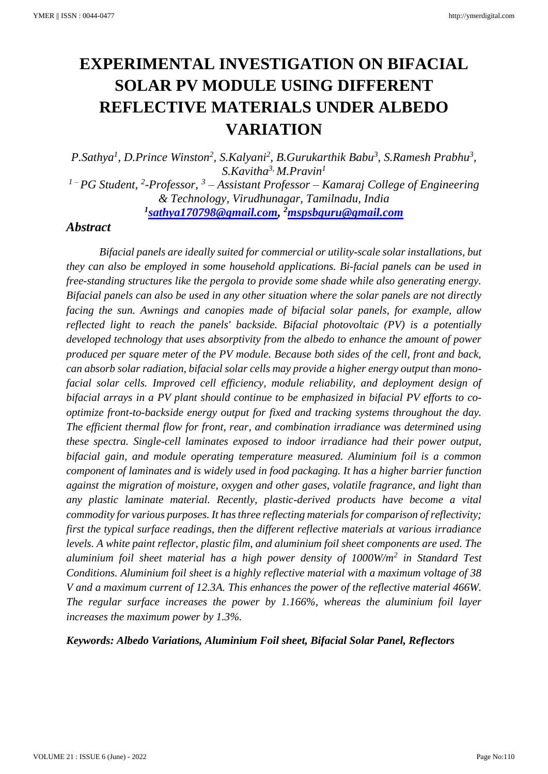# **EXPERIMENTAL INVESTIGATION ON BIFACIAL SOLAR PV MODULE USING DIFFERENT REFLECTIVE MATERIALS UNDER ALBEDO VARIATION**

*P.Sathya<sup>1</sup> , D.Prince Winston<sup>2</sup> , S.Kalyani<sup>2</sup> , B.Gurukarthik Babu<sup>3</sup> , S.Ramesh Prabhu<sup>3</sup> , S.Kavitha3, M.Pravin 1*

*<sup>1</sup> – PG Student, 2 -Professor, <sup>3</sup> – Assistant Professor – Kamaraj College of Engineering & Technology, Virudhunagar, Tamilnadu, India 1 [sathya170798@gmail.com,](mailto:sathya170798@gmail.com) <sup>2</sup>[mspsbguru@gmail.com](mailto:mspsbguru@gmail.com)*

## *Abstract*

*Bifacial panels are ideally suited for commercial or utility-scale solar installations, but they can also be employed in some household applications. Bi-facial panels can be used in free-standing structures like the pergola to provide some shade while also generating energy. Bifacial panels can also be used in any other situation where the solar panels are not directly facing the sun. Awnings and canopies made of bifacial solar panels, for example, allow reflected light to reach the panels' backside. Bifacial photovoltaic (PV) is a potentially developed technology that uses absorptivity from the albedo to enhance the amount of power produced per square meter of the PV module. Because both sides of the cell, front and back, can absorb solar radiation, bifacial solar cells may provide a higher energy output than monofacial solar cells. Improved cell efficiency, module reliability, and deployment design of bifacial arrays in a PV plant should continue to be emphasized in bifacial PV efforts to cooptimize front-to-backside energy output for fixed and tracking systems throughout the day. The efficient thermal flow for front, rear, and combination irradiance was determined using these spectra. Single-cell laminates exposed to indoor irradiance had their power output, bifacial gain, and module operating temperature measured. Aluminium foil is a common component of laminates and is widely used in food packaging. It has a higher barrier function against the migration of moisture, oxygen and other gases, volatile fragrance, and light than any plastic laminate material. Recently, plastic-derived products have become a vital commodity for various purposes. It has three reflecting materials for comparison of reflectivity; first the typical surface readings, then the different reflective materials at various irradiance levels. A white paint reflector, plastic film, and aluminium foil sheet components are used. The aluminium foil sheet material has a high power density of 1000W/m<sup>2</sup> in Standard Test Conditions. Aluminium foil sheet is a highly reflective material with a maximum voltage of 38 V and a maximum current of 12.3A. This enhances the power of the reflective material 466W. The regular surface increases the power by 1.166%, whereas the aluminium foil layer increases the maximum power by 1.3%.*

#### *Keywords: Albedo Variations, Aluminium Foil sheet, Bifacial Solar Panel, Reflectors*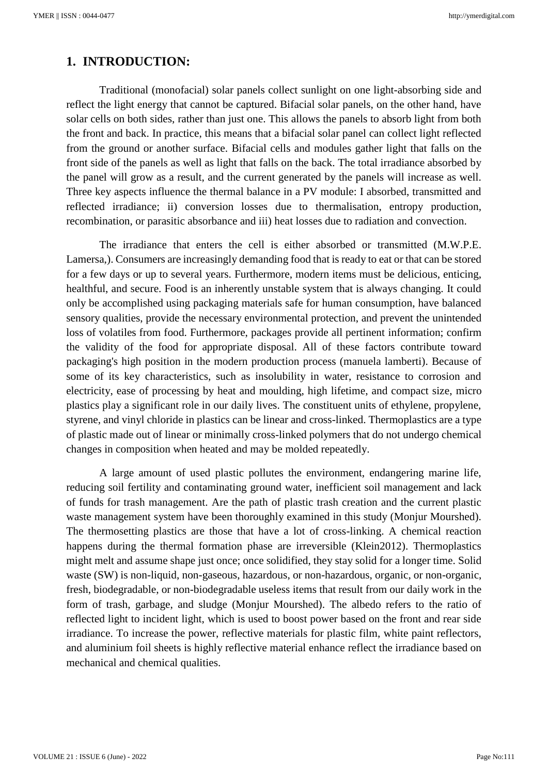# **1. INTRODUCTION:**

Traditional (monofacial) solar panels collect sunlight on one light-absorbing side and reflect the light energy that cannot be captured. Bifacial solar panels, on the other hand, have solar cells on both sides, rather than just one. This allows the panels to absorb light from both the front and back. In practice, this means that a bifacial solar panel can collect light reflected from the ground or another surface. Bifacial cells and modules gather light that falls on the front side of the panels as well as light that falls on the back. The total irradiance absorbed by the panel will grow as a result, and the current generated by the panels will increase as well. Three key aspects influence the thermal balance in a PV module: I absorbed, transmitted and reflected irradiance; ii) conversion losses due to thermalisation, entropy production, recombination, or parasitic absorbance and iii) heat losses due to radiation and convection.

The irradiance that enters the cell is either absorbed or transmitted (M.W.P.E. Lamersa,). Consumers are increasingly demanding food that is ready to eat or that can be stored for a few days or up to several years. Furthermore, modern items must be delicious, enticing, healthful, and secure. Food is an inherently unstable system that is always changing. It could only be accomplished using packaging materials safe for human consumption, have balanced sensory qualities, provide the necessary environmental protection, and prevent the unintended loss of volatiles from food. Furthermore, packages provide all pertinent information; confirm the validity of the food for appropriate disposal. All of these factors contribute toward packaging's high position in the modern production process (manuela lamberti). Because of some of its key characteristics, such as insolubility in water, resistance to corrosion and electricity, ease of processing by heat and moulding, high lifetime, and compact size, micro plastics play a significant role in our daily lives. The constituent units of ethylene, propylene, styrene, and vinyl chloride in plastics can be linear and cross-linked. Thermoplastics are a type of plastic made out of linear or minimally cross-linked polymers that do not undergo chemical changes in composition when heated and may be molded repeatedly.

A large amount of used plastic pollutes the environment, endangering marine life, reducing soil fertility and contaminating ground water, inefficient soil management and lack of funds for trash management. Are the path of plastic trash creation and the current plastic waste management system have been thoroughly examined in this study (Monjur Mourshed). The thermosetting plastics are those that have a lot of cross-linking. A chemical reaction happens during the thermal formation phase are irreversible (Klein2012). Thermoplastics might melt and assume shape just once; once solidified, they stay solid for a longer time. Solid waste (SW) is non-liquid, non-gaseous, hazardous, or non-hazardous, organic, or non-organic, fresh, biodegradable, or non-biodegradable useless items that result from our daily work in the form of trash, garbage, and sludge (Monjur Mourshed). The albedo refers to the ratio of reflected light to incident light, which is used to boost power based on the front and rear side irradiance. To increase the power, reflective materials for plastic film, white paint reflectors, and aluminium foil sheets is highly reflective material enhance reflect the irradiance based on mechanical and chemical qualities.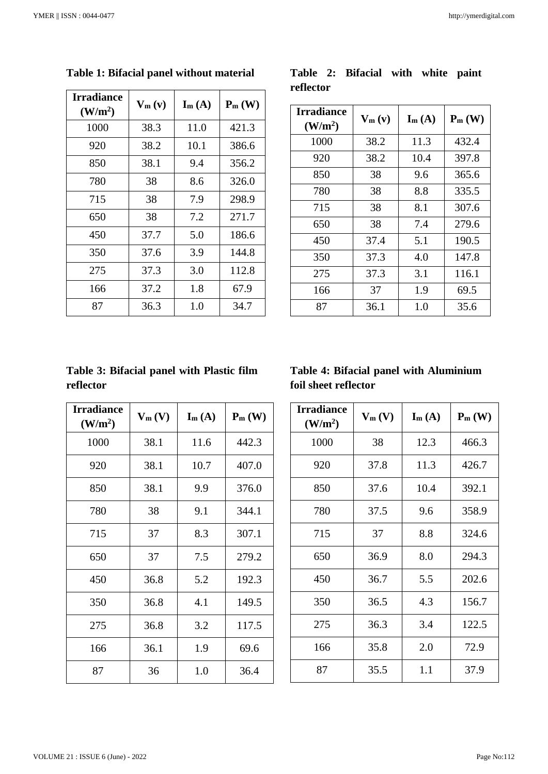| <b>Irradiance</b><br>(W/m <sup>2</sup> ) | $V_m(v)$ | $\mathbf{I}_{m}(\mathbf{A})$ | $P_m(W)$ |
|------------------------------------------|----------|------------------------------|----------|
| 1000                                     | 38.3     | 11.0                         | 421.3    |
| 920                                      | 38.2     | 10.1                         | 386.6    |
| 850                                      | 38.1     | 9.4                          | 356.2    |
| 780                                      | 38       | 8.6                          | 326.0    |
| 715                                      | 38       | 7.9                          | 298.9    |
| 650                                      | 38       | 7.2                          | 271.7    |
| 450                                      | 37.7     | 5.0                          | 186.6    |
| 350                                      | 37.6     | 3.9                          | 144.8    |
| 275                                      | 37.3     | 3.0                          | 112.8    |
| 166                                      | 37.2     | 1.8                          | 67.9     |
| 87                                       | 36.3     | 1.0                          | 34.7     |

**Table 1: Bifacial panel without material**

|           | Table 2: Bifacial with white paint |  |  |
|-----------|------------------------------------|--|--|
| reflector |                                    |  |  |

| <b>Irradiance</b><br>(W/m <sup>2</sup> ) | $V_m(v)$ | $\mathbf{I}_{m}(\mathbf{A})$ | $P_m(W)$ |
|------------------------------------------|----------|------------------------------|----------|
| 1000                                     | 38.2     | 11.3                         | 432.4    |
| 920                                      | 38.2     | 10.4                         | 397.8    |
| 850                                      | 38       | 9.6                          | 365.6    |
| 780                                      | 38       | 8.8                          | 335.5    |
| 715                                      | 38       | 8.1                          | 307.6    |
| 650                                      | 38       | 7.4                          | 279.6    |
| 450                                      | 37.4     | 5.1                          | 190.5    |
| 350                                      | 37.3     | 4.0                          | 147.8    |
| 275                                      | 37.3     | 3.1                          | 116.1    |
| 166                                      | 37       | 1.9                          | 69.5     |
| 87                                       | 36.1     | 1.0                          | 35.6     |

# **Table 3: Bifacial panel with Plastic film reflector**

| <b>Irradiance</b><br>(W/m <sup>2</sup> ) | $V_m(V)$ | $\mathbf{I}_{m}(\mathbf{A})$ | $P_m(W)$ |
|------------------------------------------|----------|------------------------------|----------|
| 1000                                     | 38.1     | 11.6                         | 442.3    |
| 920                                      | 38.1     | 10.7                         | 407.0    |
| 850                                      | 38.1     | 9.9                          | 376.0    |
| 780                                      | 38       | 9.1                          | 344.1    |
| 715                                      | 37       | 8.3                          | 307.1    |
| 650                                      | 37       | 7.5                          | 279.2    |
| 450                                      | 36.8     | 5.2                          | 192.3    |
| 350                                      | 36.8     | 4.1                          | 149.5    |
| 275                                      | 36.8     | 3.2                          | 117.5    |
| 166                                      | 36.1     | 1.9                          | 69.6     |
| 87                                       | 36       | 1.0                          | 36.4     |

# **Table 4: Bifacial panel with Aluminium foil sheet reflector**

| <b>Irradiance</b><br>(W/m <sup>2</sup> ) | $V_m(V)$ | $\mathbf{I}_{m}(\mathbf{A})$ | $P_m(W)$ |
|------------------------------------------|----------|------------------------------|----------|
| 1000                                     | 38       | 12.3                         | 466.3    |
| 920                                      | 37.8     | 11.3                         | 426.7    |
| 850                                      | 37.6     | 10.4                         | 392.1    |
| 780                                      | 37.5     | 9.6                          | 358.9    |
| 715                                      | 37       | 8.8                          | 324.6    |
| 650                                      | 36.9     | 8.0                          | 294.3    |
| 450                                      | 36.7     | 5.5                          | 202.6    |
| 350                                      | 36.5     | 4.3                          | 156.7    |
| 275                                      | 36.3     | 3.4                          | 122.5    |
| 166                                      | 35.8     | 2.0                          | 72.9     |
| 87                                       | 35.5     | 1.1                          | 37.9     |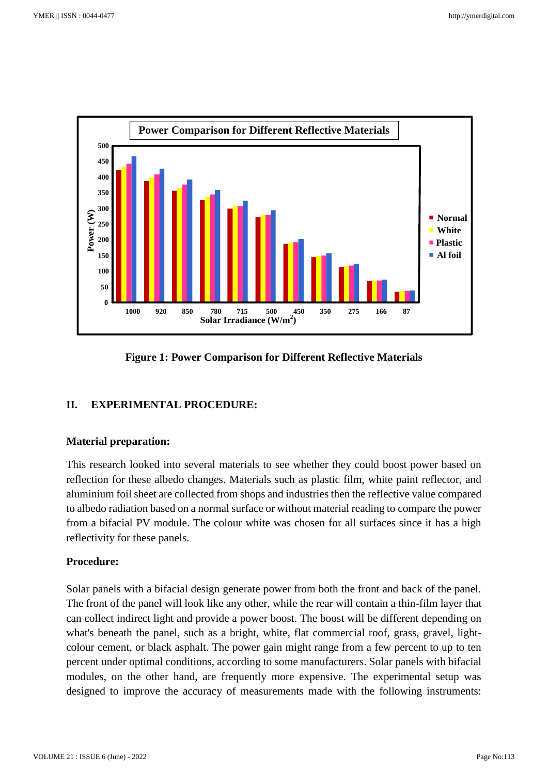

# **Figure 1: Power Comparison for Different Reflective Materials**

# **II. EXPERIMENTAL PROCEDURE:**

#### **Material preparation:**

This research looked into several materials to see whether they could boost power based on reflection for these albedo changes. Materials such as plastic film, white paint reflector, and aluminium foil sheet are collected from shops and industries then the reflective value compared to albedo radiation based on a normal surface or without material reading to compare the power from a bifacial PV module. The colour white was chosen for all surfaces since it has a high reflectivity for these panels.

## **Procedure:**

Solar panels with a bifacial design generate power from both the front and back of the panel. The front of the panel will look like any other, while the rear will contain a thin-film layer that can collect indirect light and provide a power boost. The boost will be different depending on what's beneath the panel, such as a bright, white, flat commercial roof, grass, gravel, lightcolour cement, or black asphalt. The power gain might range from a few percent to up to ten percent under optimal conditions, according to some manufacturers. Solar panels with bifacial modules, on the other hand, are frequently more expensive. The experimental setup was designed to improve the accuracy of measurements made with the following instruments: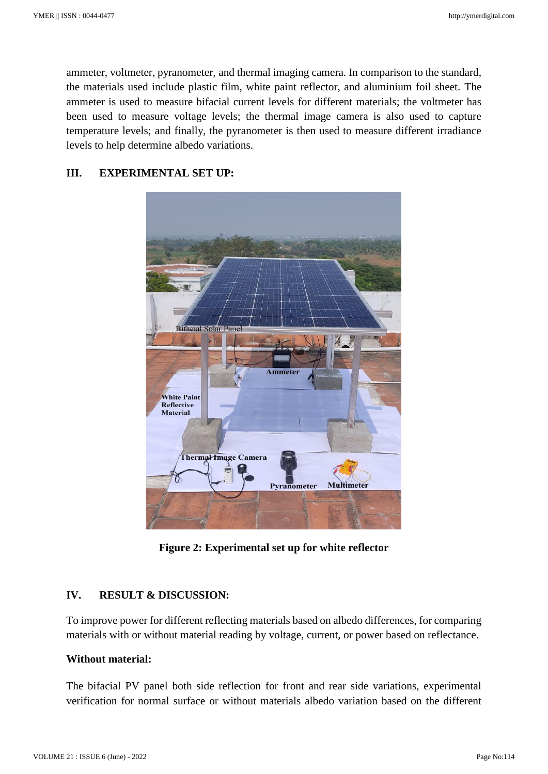ammeter, voltmeter, pyranometer, and thermal imaging camera. In comparison to the standard, the materials used include plastic film, white paint reflector, and aluminium foil sheet. The ammeter is used to measure bifacial current levels for different materials; the voltmeter has been used to measure voltage levels; the thermal image camera is also used to capture temperature levels; and finally, the pyranometer is then used to measure different irradiance levels to help determine albedo variations.

#### **III. EXPERIMENTAL SET UP:**



**Figure 2: Experimental set up for white reflector**

### **IV. RESULT & DISCUSSION:**

To improve power for different reflecting materials based on albedo differences, for comparing materials with or without material reading by voltage, current, or power based on reflectance.

## **Without material:**

The bifacial PV panel both side reflection for front and rear side variations, experimental verification for normal surface or without materials albedo variation based on the different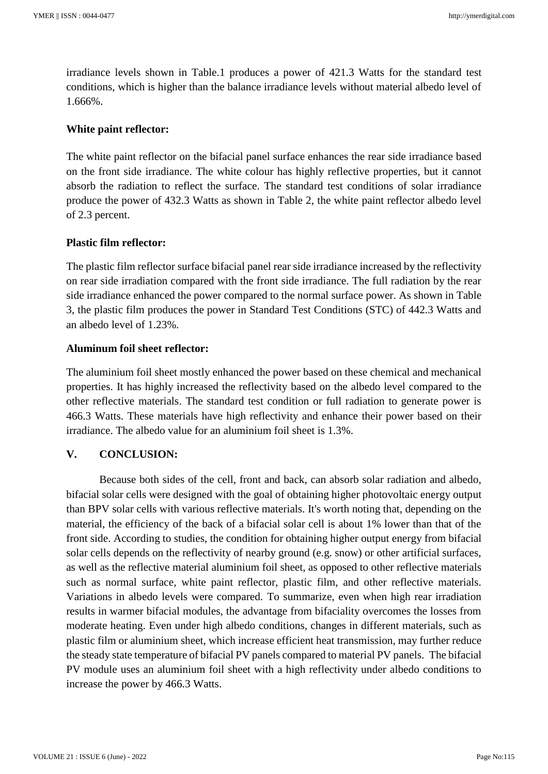irradiance levels shown in Table.1 produces a power of 421.3 Watts for the standard test conditions, which is higher than the balance irradiance levels without material albedo level of 1.666%.

### **White paint reflector:**

The white paint reflector on the bifacial panel surface enhances the rear side irradiance based on the front side irradiance. The white colour has highly reflective properties, but it cannot absorb the radiation to reflect the surface. The standard test conditions of solar irradiance produce the power of 432.3 Watts as shown in Table 2, the white paint reflector albedo level of 2.3 percent.

### **Plastic film reflector:**

The plastic film reflector surface bifacial panel rear side irradiance increased by the reflectivity on rear side irradiation compared with the front side irradiance. The full radiation by the rear side irradiance enhanced the power compared to the normal surface power. As shown in Table 3, the plastic film produces the power in Standard Test Conditions (STC) of 442.3 Watts and an albedo level of 1.23%.

### **Aluminum foil sheet reflector:**

The aluminium foil sheet mostly enhanced the power based on these chemical and mechanical properties. It has highly increased the reflectivity based on the albedo level compared to the other reflective materials. The standard test condition or full radiation to generate power is 466.3 Watts. These materials have high reflectivity and enhance their power based on their irradiance. The albedo value for an aluminium foil sheet is 1.3%.

## **V. CONCLUSION:**

Because both sides of the cell, front and back, can absorb solar radiation and albedo, bifacial solar cells were designed with the goal of obtaining higher photovoltaic energy output than BPV solar cells with various reflective materials. It's worth noting that, depending on the material, the efficiency of the back of a bifacial solar cell is about 1% lower than that of the front side. According to studies, the condition for obtaining higher output energy from bifacial solar cells depends on the reflectivity of nearby ground (e.g. snow) or other artificial surfaces, as well as the reflective material aluminium foil sheet, as opposed to other reflective materials such as normal surface, white paint reflector, plastic film, and other reflective materials. Variations in albedo levels were compared. To summarize, even when high rear irradiation results in warmer bifacial modules, the advantage from bifaciality overcomes the losses from moderate heating. Even under high albedo conditions, changes in different materials, such as plastic film or aluminium sheet, which increase efficient heat transmission, may further reduce the steady state temperature of bifacial PV panels compared to material PV panels. The bifacial PV module uses an aluminium foil sheet with a high reflectivity under albedo conditions to increase the power by 466.3 Watts.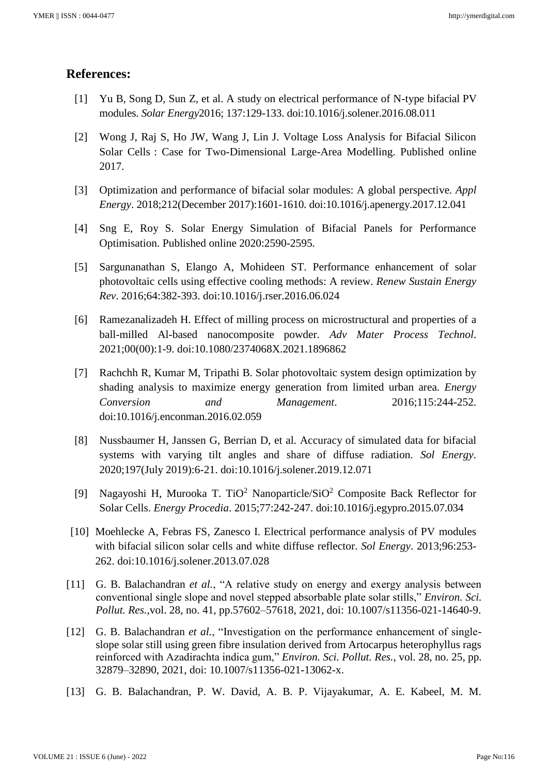# **References:**

- [1] Yu B, Song D, Sun Z, et al. A study on electrical performance of N-type bifacial PV modules. *Solar Energy*2016; 137:129-133. doi:10.1016/j.solener.2016.08.011
- [2] Wong J, Raj S, Ho JW, Wang J, Lin J. Voltage Loss Analysis for Bifacial Silicon Solar Cells : Case for Two-Dimensional Large-Area Modelling. Published online 2017.
- [3] Optimization and performance of bifacial solar modules: A global perspective*. Appl Energy*. 2018;212(December 2017):1601-1610. doi:10.1016/j.apenergy.2017.12.041
- [4] Sng E, Roy S. Solar Energy Simulation of Bifacial Panels for Performance Optimisation. Published online 2020:2590-2595.
- [5] Sargunanathan S, Elango A, Mohideen ST. Performance enhancement of solar photovoltaic cells using effective cooling methods: A review. *Renew Sustain Energy Rev*. 2016;64:382-393. doi:10.1016/j.rser.2016.06.024
- [6] Ramezanalizadeh H. Effect of milling process on microstructural and properties of a ball-milled Al-based nanocomposite powder. *Adv Mater Process Technol*. 2021;00(00):1-9. doi:10.1080/2374068X.2021.1896862
- [7] Rachchh R, Kumar M, Tripathi B. Solar photovoltaic system design optimization by shading analysis to maximize energy generation from limited urban area. *Energy Conversion and Management*. 2016;115:244-252. doi:10.1016/j.enconman.2016.02.059
- [8] Nussbaumer H, Janssen G, Berrian D, et al. Accuracy of simulated data for bifacial systems with varying tilt angles and share of diffuse radiation. *Sol Energy*. 2020;197(July 2019):6-21. doi:10.1016/j.solener.2019.12.071
- [9] Nagayoshi H, Murooka T. TiO<sup>2</sup> Nanoparticle/SiO<sup>2</sup> Composite Back Reflector for Solar Cells. *Energy Procedia*. 2015;77:242-247. doi:10.1016/j.egypro.2015.07.034
- [10] Moehlecke A, Febras FS, Zanesco I. Electrical performance analysis of PV modules with bifacial silicon solar cells and white diffuse reflector. *Sol Energy*. 2013;96:253- 262. doi:10.1016/j.solener.2013.07.028
- [11] G. B. Balachandran *et al.*, "A relative study on energy and exergy analysis between conventional single slope and novel stepped absorbable plate solar stills," *Environ. Sci. Pollut. Res.*,vol. 28, no. 41, pp.57602–57618, 2021, doi: 10.1007/s11356-021-14640-9.
- [12] G. B. Balachandran *et al.*, "Investigation on the performance enhancement of singleslope solar still using green fibre insulation derived from Artocarpus heterophyllus rags reinforced with Azadirachta indica gum," *Environ. Sci. Pollut. Res.*, vol. 28, no. 25, pp. 32879–32890, 2021, doi: 10.1007/s11356-021-13062-x.
- [13] G. B. Balachandran, P. W. David, A. B. P. Vijayakumar, A. E. Kabeel, M. M.